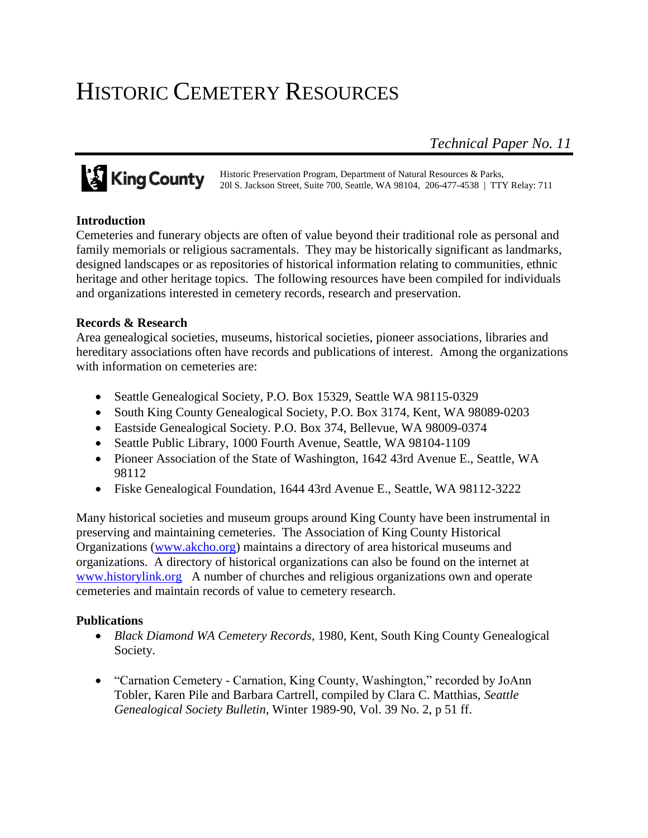# HISTORIC CEMETERY RESOURCES

*Technical Paper No. 11*

Historic Preservation Program, Department of Natural Resources & Parks, 20l S. Jackson Street, Suite 700, Seattle, WA 98104, 206-477-4538 | TTY Relay: 711

# **Introduction**

Cemeteries and funerary objects are often of value beyond their traditional role as personal and family memorials or religious sacramentals. They may be historically significant as landmarks, designed landscapes or as repositories of historical information relating to communities, ethnic heritage and other heritage topics. The following resources have been compiled for individuals and organizations interested in cemetery records, research and preservation.

# **Records & Research**

Area genealogical societies, museums, historical societies, pioneer associations, libraries and hereditary associations often have records and publications of interest. Among the organizations with information on cemeteries are:

- Seattle Genealogical Society, P.O. Box 15329, Seattle WA 98115-0329
- South King County Genealogical Society, P.O. Box 3174, Kent, WA 98089-0203
- Eastside Genealogical Society. P.O. Box 374, Bellevue, WA 98009-0374
- Seattle Public Library, 1000 Fourth Avenue, Seattle, WA 98104-1109
- Pioneer Association of the State of Washington, 1642 43rd Avenue E., Seattle, WA 98112
- Fiske Genealogical Foundation, 1644 43rd Avenue E., Seattle, WA 98112-3222

Many historical societies and museum groups around King County have been instrumental in preserving and maintaining cemeteries. The Association of King County Historical Organizations [\(www.akcho.org\)](http://www.akcho.org/) maintains a directory of area historical museums and organizations. A directory of historical organizations can also be found on the internet at [www.historylink.org](http://www.historylink.org/) A number of churches and religious organizations own and operate cemeteries and maintain records of value to cemetery research.

# **Publications**

- *Black Diamond WA Cemetery Records*, 1980, Kent, South King County Genealogical Society.
- "Carnation Cemetery Carnation, King County, Washington," recorded by JoAnn Tobler, Karen Pile and Barbara Cartrell, compiled by Clara C. Matthias, *Seattle Genealogical Society Bulletin*, Winter 1989-90, Vol. 39 No. 2, p 51 ff.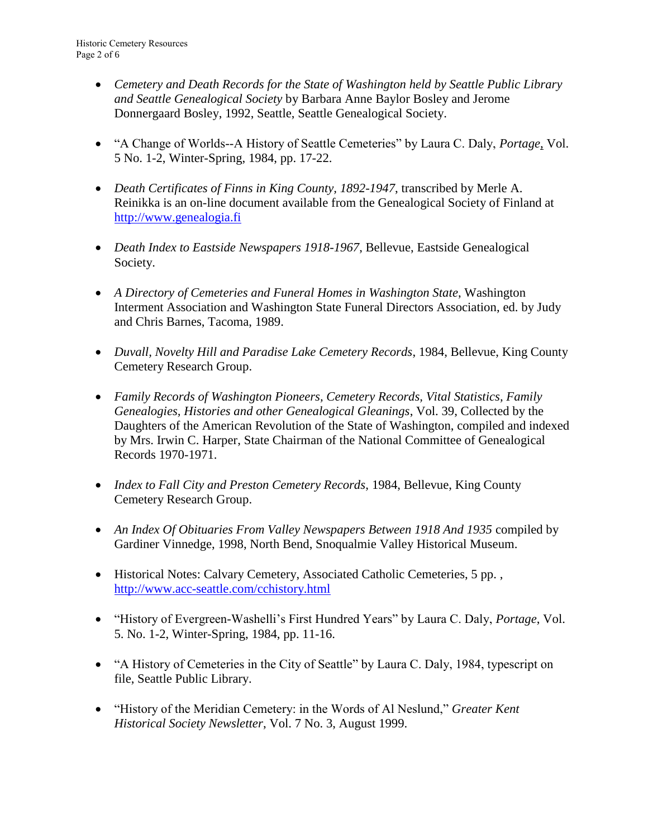- *Cemetery and Death Records for the State of Washington held by Seattle Public Library and Seattle Genealogical Society* by Barbara Anne Baylor Bosley and Jerome Donnergaard Bosley, 1992, Seattle, Seattle Genealogical Society.
- "A Change of Worlds--A History of Seattle Cemeteries" by Laura C. Daly, *Portage*, Vol. 5 No. 1-2, Winter-Spring, 1984, pp. 17-22.
- *Death Certificates of Finns in King County, 1892-1947*, transcribed by Merle A. Reinikka is an on-line document available from the Genealogical Society of Finland at [http://www.genealogia.fi](http://www.genealogia.fi/)
- *Death Index to Eastside Newspapers 1918-1967*, Bellevue, Eastside Genealogical Society.
- *A Directory of Cemeteries and Funeral Homes in Washington State*, Washington Interment Association and Washington State Funeral Directors Association, ed. by Judy and Chris Barnes, Tacoma, 1989.
- *Duvall, Novelty Hill and Paradise Lake Cemetery Records*, 1984, Bellevue, King County Cemetery Research Group.
- *Family Records of Washington Pioneers, Cemetery Records, Vital Statistics, Family Genealogies, Histories and other Genealogical Gleanings*, Vol. 39, Collected by the Daughters of the American Revolution of the State of Washington, compiled and indexed by Mrs. Irwin C. Harper, State Chairman of the National Committee of Genealogical Records 1970-1971.
- *Index to Fall City and Preston Cemetery Records*, 1984, Bellevue, King County Cemetery Research Group.
- An Index Of Obituaries From Valley Newspapers Between 1918 And 1935 compiled by Gardiner Vinnedge, 1998, North Bend, Snoqualmie Valley Historical Museum.
- Historical Notes: Calvary Cemetery, Associated Catholic Cemeteries, 5 pp. , <http://www.acc-seattle.com/cchistory.html>
- "History of Evergreen-Washelli's First Hundred Years" by Laura C. Daly, *Portage*, Vol. 5. No. 1-2, Winter-Spring, 1984, pp. 11-16.
- "A History of Cemeteries in the City of Seattle" by Laura C. Daly, 1984, typescript on file, Seattle Public Library.
- "History of the Meridian Cemetery: in the Words of Al Neslund," *Greater Kent Historical Society Newsletter*, Vol. 7 No. 3, August 1999.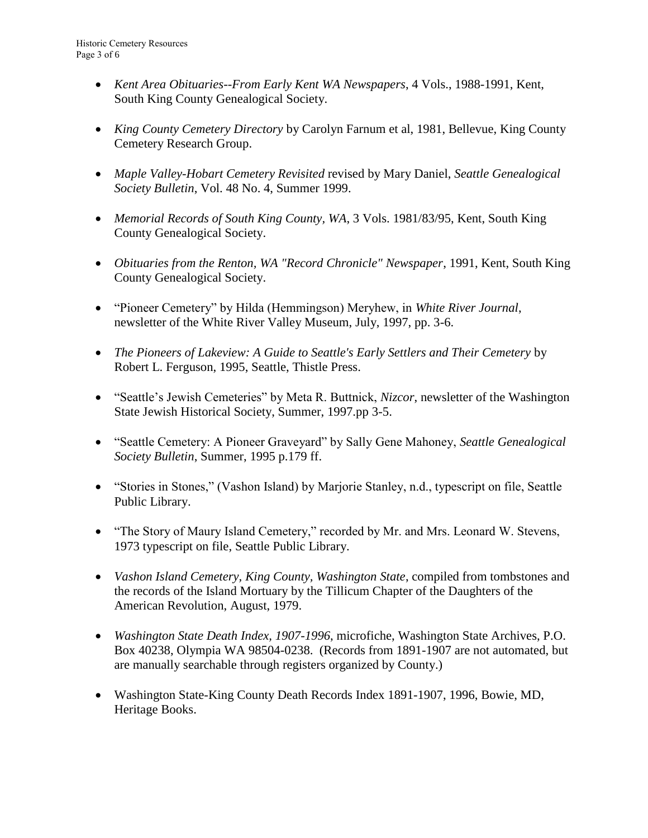- *Kent Area Obituaries--From Early Kent WA Newspapers*, 4 Vols., 1988-1991, Kent, South King County Genealogical Society.
- *King County Cemetery Directory* by Carolyn Farnum et al, 1981, Bellevue, King County Cemetery Research Group.
- *Maple Valley-Hobart Cemetery Revisited* revised by Mary Daniel, *Seattle Genealogical Society Bulletin*, Vol. 48 No. 4, Summer 1999.
- *Memorial Records of South King County, WA*, 3 Vols. 1981/83/95, Kent, South King County Genealogical Society.
- *Obituaries from the Renton, WA "Record Chronicle" Newspaper*, 1991, Kent, South King County Genealogical Society.
- "Pioneer Cemetery" by Hilda (Hemmingson) Meryhew, in *White River Journal*, newsletter of the White River Valley Museum, July, 1997, pp. 3-6.
- *The Pioneers of Lakeview: A Guide to Seattle's Early Settlers and Their Cemetery* by Robert L. Ferguson, 1995, Seattle, Thistle Press.
- "Seattle's Jewish Cemeteries" by Meta R. Buttnick, *Nizcor*, newsletter of the Washington State Jewish Historical Society, Summer, 1997.pp 3-5.
- "Seattle Cemetery: A Pioneer Graveyard" by Sally Gene Mahoney, *Seattle Genealogical Society Bulletin*, Summer, 1995 p.179 ff.
- "Stories in Stones," (Vashon Island) by Marjorie Stanley, n.d., typescript on file, Seattle Public Library.
- "The Story of Maury Island Cemetery," recorded by Mr. and Mrs. Leonard W. Stevens, 1973 typescript on file, Seattle Public Library.
- *Vashon Island Cemetery, King County, Washington State*, compiled from tombstones and the records of the Island Mortuary by the Tillicum Chapter of the Daughters of the American Revolution, August, 1979.
- *Washington State Death Index, 1907-1996*, microfiche, Washington State Archives, P.O. Box 40238, Olympia WA 98504-0238. (Records from 1891-1907 are not automated, but are manually searchable through registers organized by County.)
- Washington State-King County Death Records Index 1891-1907, 1996, Bowie, MD, Heritage Books.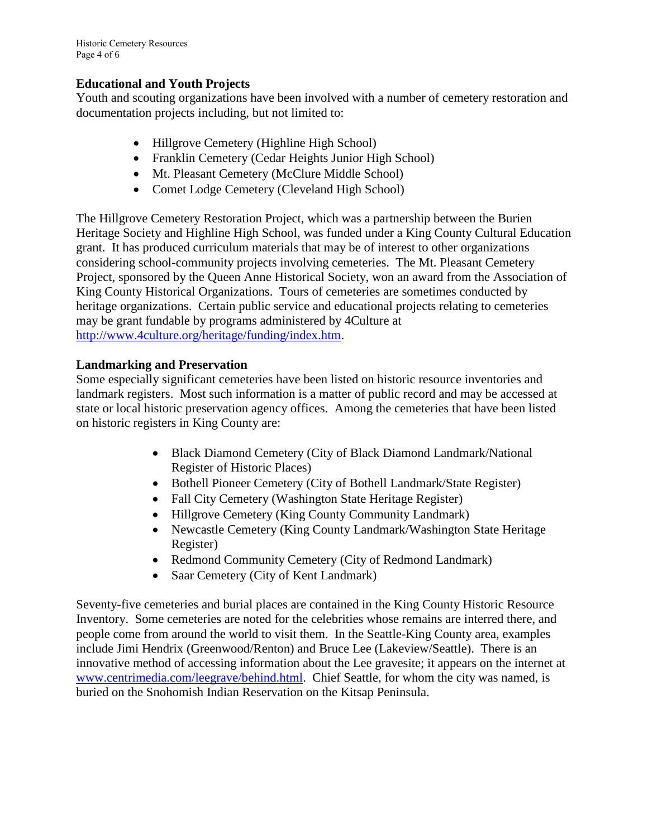Historic Cemetery Resources Page 4 of 6

#### **Educational and Youth Projects**

Youth and scouting organizations have been involved with a number of cemetery restoration and documentation projects including, but not limited to:

- Hillgrove Cemetery (Highline High School)
- Franklin Cemetery (Cedar Heights Junior High School)
- Mt. Pleasant Cemetery (McClure Middle School)
- Comet Lodge Cemetery (Cleveland High School)

The Hillgrove Cemetery Restoration Project, which was a partnership between the Burien Heritage Society and Highline High School, was funded under a King County Cultural Education grant. It has produced curriculum materials that may be of interest to other organizations considering school-community projects involving cemeteries. The Mt. Pleasant Cemetery Project, sponsored by the Queen Anne Historical Society, won an award from the Association of King County Historical Organizations. Tours of cemeteries are sometimes conducted by heritage organizations. Certain public service and educational projects relating to cemeteries may be grant fundable by programs administered by 4Culture at [http://www.4culture.org/heritage/funding/index.htm.](http://www.4culture.org/heritage/funding/index.htm)

### **Landmarking and Preservation**

Some especially significant cemeteries have been listed on historic resource inventories and landmark registers. Most such information is a matter of public record and may be accessed at state or local historic preservation agency offices. Among the cemeteries that have been listed on historic registers in King County are:

- Black Diamond Cemetery (City of Black Diamond Landmark/National Register of Historic Places)
- Bothell Pioneer Cemetery (City of Bothell Landmark/State Register)
- Fall City Cemetery (Washington State Heritage Register)
- Hillgrove Cemetery (King County Community Landmark)
- Newcastle Cemetery (King County Landmark/Washington State Heritage Register)
- Redmond Community Cemetery (City of Redmond Landmark)
- Saar Cemetery (City of Kent Landmark)

Seventy-five cemeteries and burial places are contained in the King County Historic Resource Inventory. Some cemeteries are noted for the celebrities whose remains are interred there, and people come from around the world to visit them. In the Seattle-King County area, examples include Jimi Hendrix (Greenwood/Renton) and Bruce Lee (Lakeview/Seattle). There is an innovative method of accessing information about the Lee gravesite; it appears on the internet at [www.centrimedia.com/leegrave/behind.html.](http://www.centrimedia.com/leegrave/behind.html) Chief Seattle, for whom the city was named, is buried on the Snohomish Indian Reservation on the Kitsap Peninsula.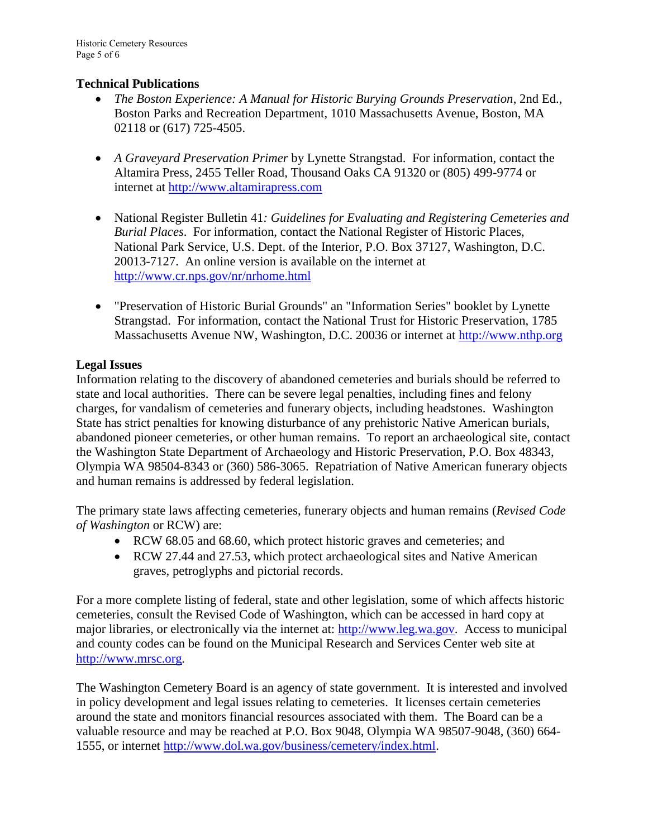### **Technical Publications**

- *The Boston Experience: A Manual for Historic Burying Grounds Preservation*, 2nd Ed., Boston Parks and Recreation Department, 1010 Massachusetts Avenue, Boston, MA 02118 or (617) 725-4505.
- *A Graveyard Preservation Primer* by Lynette Strangstad. For information, contact the Altamira Press, 2455 Teller Road, Thousand Oaks CA 91320 or (805) 499-9774 or internet at [http://www.altamirapress.com](http://www.altamirapress.com/)
- National Register Bulletin 41*: Guidelines for Evaluating and Registering Cemeteries and Burial Places*. For information, contact the National Register of Historic Places, National Park Service, U.S. Dept. of the Interior, P.O. Box 37127, Washington, D.C. 20013-7127. An online version is available on the internet at <http://www.cr.nps.gov/nr/nrhome.html>
- "Preservation of Historic Burial Grounds" an "Information Series" booklet by Lynette Strangstad. For information, contact the National Trust for Historic Preservation, 1785 Massachusetts Avenue NW, Washington, D.C. 20036 or internet at [http://www.nthp.org](http://www.nthp.org/)

# **Legal Issues**

Information relating to the discovery of abandoned cemeteries and burials should be referred to state and local authorities. There can be severe legal penalties, including fines and felony charges, for vandalism of cemeteries and funerary objects, including headstones. Washington State has strict penalties for knowing disturbance of any prehistoric Native American burials, abandoned pioneer cemeteries, or other human remains. To report an archaeological site, contact the Washington State Department of Archaeology and Historic Preservation, P.O. Box 48343, Olympia WA 98504-8343 or (360) 586-3065. Repatriation of Native American funerary objects and human remains is addressed by federal legislation.

The primary state laws affecting cemeteries, funerary objects and human remains (*Revised Code of Washington* or RCW) are:

- RCW 68.05 and 68.60, which protect historic graves and cemeteries; and
- RCW 27.44 and 27.53, which protect archaeological sites and Native American graves, petroglyphs and pictorial records.

For a more complete listing of federal, state and other legislation, some of which affects historic cemeteries, consult the Revised Code of Washington, which can be accessed in hard copy at major libraries, or electronically via the internet at: [http://www.leg.wa.gov.](http://www.leg.wa.gov/) Access to municipal and county codes can be found on the Municipal Research and Services Center web site at [http://www.mrsc.org.](http://www.mrsc.org/)

The Washington Cemetery Board is an agency of state government. It is interested and involved in policy development and legal issues relating to cemeteries. It licenses certain cemeteries around the state and monitors financial resources associated with them. The Board can be a valuable resource and may be reached at P.O. Box 9048, Olympia WA 98507-9048, (360) 664- 1555, or internet [http://www.dol.wa.gov/business/cemetery/index.html.](http://www.dol.wa.gov/business/cemetery/index.html)